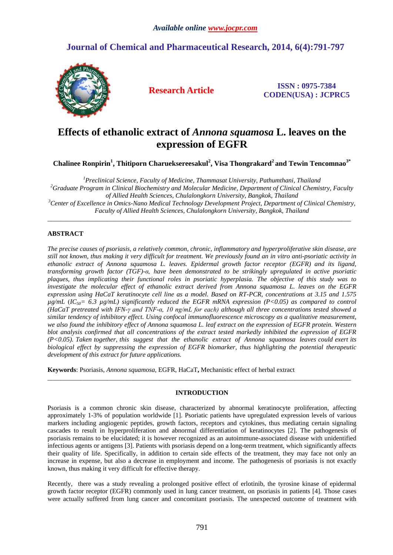# **Journal of Chemical and Pharmaceutical Research, 2014, 6(4):791-797**



**Research Article ISSN : 0975-7384 CODEN(USA) : JCPRC5**

# **Effects of ethanolic extract of** *Annona squamosa* **L. leaves on the expression of EGFR**

**Chalinee Ronpirin<sup>1</sup> , Thitiporn Charueksereesakul<sup>2</sup> , Visa Thongrakard<sup>2</sup> and Tewin Tencomnao3\***

*<sup>1</sup>Preclinical Science, Faculty of Medicine, Thammasat University, Pathumthani, Thailand <sup>2</sup>Graduate Program in Clinical Biochemistry and Molecular Medicine, Department of Clinical Chemistry, Faculty of Allied Health Sciences, Chulalongkorn University, Bangkok, Thailand <sup>3</sup>Center of Excellence in Omics-Nano Medical Technology Development Project, Department of Clinical Chemistry, Faculty of Allied Health Sciences, Chulalongkorn University, Bangkok, Thailand*

\_\_\_\_\_\_\_\_\_\_\_\_\_\_\_\_\_\_\_\_\_\_\_\_\_\_\_\_\_\_\_\_\_\_\_\_\_\_\_\_\_\_\_\_\_\_\_\_\_\_\_\_\_\_\_\_\_\_\_\_\_\_\_\_\_\_\_\_\_\_\_\_\_\_\_\_\_\_\_\_\_\_\_\_\_\_\_\_\_\_\_\_

# **ABSTRACT**

*The precise causes of psoriasis, a relatively common, chronic, inflammatory and hyperproliferative skin disease, are still not known, thus making it very difficult for treatment. We previously found an in vitro anti-psoriatic activity in ethanolic extract of Annona squamosa L. leaves. Epidermal growth factor receptor (EGFR) and its ligand, transforming growth factor (TGF)-α, have been demonstrated to be strikingly upregulated in active psoriatic plaques, thus implicating their functional roles in psoriatic hyperplasia. The objective of this study was to investigate the molecular effect of ethanolic extract derived from Annona squamosa L. leaves on the EGFR expression using HaCaT keratinocyte cell line as a model. Based on RT-PCR, concentrations at 3.15 and 1.575 µg/mL* (*IC50= 6.3 µg/mL) significantly reduced the EGFR mRNA expression (P<0.05) as compared to control (HaCaT pretreated with IFN-γ and TNF-α, 10 ng/mL for each) although all three concentrations tested showed a similar tendency of inhibitory effect. Using confocal immunofluorescence microscopy as a qualitative measurement, we also found the inhibitory effect of Annona squamosa L. leaf extract on the expression of EGFR protein. Western blot analysis confirmed that all concentrations of the extract tested markedly inhibited the expression of EGFR (P<0.05). Taken together, this suggest that the ethanolic extract of Annona squamosa leaves could exert its biological effect by suppressing the expression of EGFR biomarker, thus highlighting the potential therapeutic development of this extract for future applications.* 

**Keywords**: Psoriasis, *Annona squamosa*, EGFR, HaCaT**,** Mechanistic effect of herbal extract

# **INTRODUCTION**

\_\_\_\_\_\_\_\_\_\_\_\_\_\_\_\_\_\_\_\_\_\_\_\_\_\_\_\_\_\_\_\_\_\_\_\_\_\_\_\_\_\_\_\_\_\_\_\_\_\_\_\_\_\_\_\_\_\_\_\_\_\_\_\_\_\_\_\_\_\_\_\_\_\_\_\_\_\_\_\_\_\_\_\_\_\_\_\_\_\_\_\_

Psoriasis is a common chronic skin disease, characterized by abnormal keratinocyte proliferation, affecting approximately 1-3% of population worldwide [1]. Psoriatic patients have upregulated expression levels of various markers including angiogenic peptides, growth factors, receptors and cytokines, thus mediating certain signaling cascades to result in hyperproliferation and abnormal differentiation of keratinocytes [2]. The pathogenesis of psoriasis remains to be elucidated; it is however recognized as an autoimmune-associated disease with unidentified infectious agents or antigens [3]. Patients with psoriasis depend on a long-term treatment, which significantly affects their quality of life. Specifically, in addition to certain side effects of the treatment, they may face not only an increase in expense, but also a decrease in employment and income. The pathogenesis of psoriasis is not exactly known, thus making it very difficult for effective therapy.

Recently, there was a study revealing a prolonged positive effect of erlotinib, the tyrosine kinase of epidermal growth factor receptor (EGFR) commonly used in lung cancer treatment, on psoriasis in patients [4]. Those cases were actually suffered from lung cancer and concomitant psoriasis. The unexpected outcome of treatment with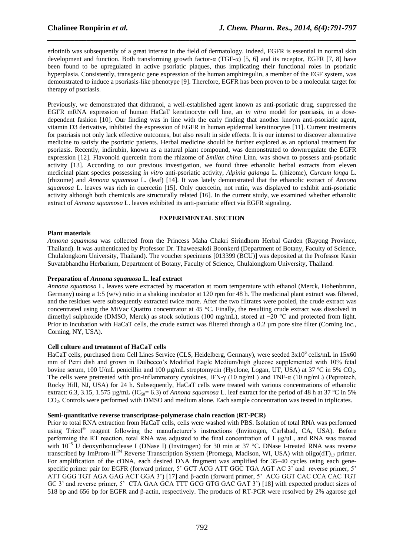erlotinib was subsequently of a great interest in the field of dermatology. Indeed, EGFR is essential in normal skin development and function. Both transforming growth factor-α (TGF-α) [5, 6] and its receptor, EGFR [7, 8] have been found to be upregulated in active psoriatic plaques, thus implicating their functional roles in psoriatic hyperplasia. Consistently, transgenic gene expression of the human amphiregulin, a member of the EGF system, was demonstrated to induce a psoriasis-like phenotype [9]. Therefore, EGFR has been proven to be a molecular target for therapy of psoriasis.

*\_\_\_\_\_\_\_\_\_\_\_\_\_\_\_\_\_\_\_\_\_\_\_\_\_\_\_\_\_\_\_\_\_\_\_\_\_\_\_\_\_\_\_\_\_\_\_\_\_\_\_\_\_\_\_\_\_\_\_\_\_\_\_\_\_\_\_\_\_\_\_\_\_\_\_\_\_\_*

Previously, we demonstrated that dithranol, a well-established agent known as anti-psoriatic drug, suppressed the EGFR mRNA expression of human HaCaT keratinocyte cell line, an *in vitro* model for psoriasis, in a dosedependent fashion [10]. Our finding was in line with the early finding that another known anti-psoriatic agent, vitamin D3 derivative, inhibited the expression of EGFR in human epidermal keratinocytes [11]. Current treatments for psoriasis not only lack effective outcomes, but also result in side effects. It is our interest to discover alternative medicine to satisfy the psoriatic patients. Herbal medicine should be further explored as an optional treatment for psoriasis. Recently, indirubin, known as a natural plant compound, was demonstrated to downregulate the EGFR expression [12]. Flavonoid quercetin from the rhizome of *Smilax china* Linn. was shown to possess anti-psoriatic activity [13]. According to our previous investigation, we found three ethanolic herbal extracts from eleven medicinal plant species possessing *in vitro* anti-psoriatic activity, *Alpinia galanga* L. (rhizome), *Curcum longa* L. (rhizome) and *Annona squamosa* L. (leaf) [14]. It was lately demonstrated that the ethanolic extract of *Annona squamosa* L. leaves was rich in quercetin [15]. Only quercetin, not rutin, was displayed to exhibit anti-psoriatic activity although both chemicals are structurally related [16]. In the current study, we examined whether ethanolic extract of *Annona squamosa* L. leaves exhibited its anti-psoriatic effect via EGFR signaling.

# **EXPERIMENTAL SECTION**

# **Plant materials**

*Annona squamosa* was collected from the Princess Maha Chakri Sirindhorn Herbal Garden (Rayong Province, Thailand). It was authenticated by Professor Dr. Thaweesakdi Boonkerd (Department of Botany, Faculty of Science, Chulalongkorn University, Thailand). The voucher specimens [013399 (BCU)] was deposited at the Professor Kasin Suvatabhandhu Herbarium, Department of Botany, Faculty of Science, Chulalongkorn University, Thailand.

# **Preparation of** *Annona squamosa* **L. leaf extract**

*Annona squamosa* L. leaves were extracted by maceration at room temperature with ethanol (Merck, Hohenbrunn, Germany) using a 1:5 (w/v) ratio in a shaking incubator at 120 rpm for 48 h. The medicinal plant extract was filtered, and the residues were subsequently extracted twice more. After the two filtrates were pooled, the crude extract was concentrated using the MiVac Quattro concentrator at 45 °C. Finally, the resulting crude extract was dissolved in dimethyl sulphoxide (DMSO, Merck) as stock solutions (100 mg/mL), stored at −20 °C and protected from light. Prior to incubation with HaCaT cells, the crude extract was filtered through a 0.2 um pore size filter (Corning Inc., Corning, NY, USA).

# **Cell culture and treatment of HaCaT cells**

HaCaT cells, purchased from Cell Lines Service (CLS, Heidelberg, Germany), were seeded 3x10<sup>6</sup> cells/mL in 15x60 mm of Petri dish and grown in Dulbecco's Modified Eagle Medium/high glucose supplemented with 10% fetal bovine serum, 100 U/mL penicillin and 100  $\mu$ g/mL streptomycin (Hyclone, Logan, UT, USA) at 37 °C in 5% CO<sub>2</sub>. The cells were pretreated with pro-inflammatory cytokines, IFN-γ (10 ng/mL) and TNF-α (10 ng/mL) (Peprotech, Rocky Hill, NJ, USA) for 24 h. Subsequently, HaCaT cells were treated with various concentrations of ethanolic extract: 6.3, 3.15, 1.575  $\mu$ g/mL (IC<sub>50</sub>= 6.3) of *Annona squamosa* L. leaf extract for the period of 48 h at 37 °C in 5% CO2. Controls were performed with DMSO and medium alone. Each sample concentration was tested in triplicates.

#### **Semi-quantitative reverse transcriptase-polymerase chain reaction (RT-PCR)**

Prior to total RNA extraction from HaCaT cells, cells were washed with PBS. Isolation of total RNA was performed using Trizol® reagent following the manufacturer's instructions (Invitrogen, Carlsbad, CA, USA). Before performing the RT reaction, total RNA was adjusted to the final concentration of 1 μg/uL, and RNA was treated with 10<sup>-5</sup> U deoxyribonuclease I (DNase I) (Invitrogen) for 30 min at 37 °C. DNase I-treated RNA was reverse transcribed by ImProm-II<sup>TM</sup> Reverse Transcription System (Promega, Madison, WI, USA) with oligo(dT)<sub>17</sub> primer. For amplification of the cDNA, each desired DNA fragment was amplified for 35–40 cycles using each genespecific primer pair for EGFR (forward primer, 5' GCT ACG ATT GGC TGA AGT AC 3' and reverse primer, 5' ATT GGG TGT AGA GAG ACT GGA 3') [17] and β-actin (forward primer, 5' ACG GGT CAC CCA CAC TGT GC 3' and reverse primer, 5' CTA GAA GCA TTT GCG GTG GAC GAT 3') [18] with expected product sizes of 518 bp and 656 bp for EGFR and β-actin, respectively. The products of RT-PCR were resolved by 2% agarose gel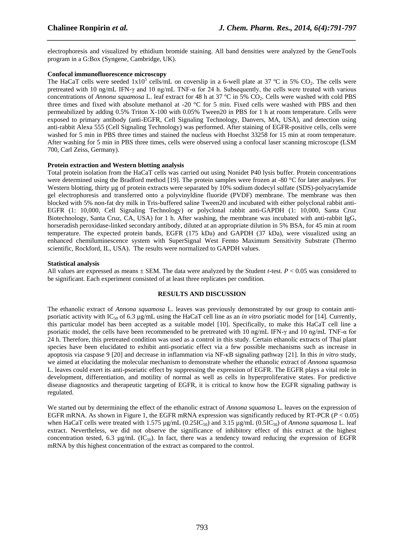electrophoresis and visualized by ethidium bromide staining. All band densities were analyzed by the GeneTools program in a G:Box (Syngene, Cambridge, UK).

*\_\_\_\_\_\_\_\_\_\_\_\_\_\_\_\_\_\_\_\_\_\_\_\_\_\_\_\_\_\_\_\_\_\_\_\_\_\_\_\_\_\_\_\_\_\_\_\_\_\_\_\_\_\_\_\_\_\_\_\_\_\_\_\_\_\_\_\_\_\_\_\_\_\_\_\_\_\_*

# **Confocal immunofluorescence microscopy**

The HaCaT cells were seeded  $1x10^5$  cells/mL on coverslip in a 6-well plate at 37 °C in 5% CO<sub>2</sub>. The cells were pretreated with 10 ng/mL IFN-γ and 10 ng/mL TNF-α for 24 h. Subsequently, the cells were treated with various concentrations of *Annona squamosa* L. leaf extract for 48 h at 37 °C in 5% CO<sub>2</sub>. Cells were washed with cold PBS three times and fixed with absolute methanol at -20 °C for 5 min. Fixed cells were washed with PBS and then permeabilized by adding 0.5% Triton X-100 with 0.05% Tween20 in PBS for 1 h at room temperature. Cells were exposed to primary antibody (anti-EGFR, Cell Signaling Technology, Danvers, MA, USA), and detection using anti-rabbit Alexa 555 (Cell Signaling Technology) was performed. After staining of EGFR-positive cells, cells were washed for 5 min in PBS three times and stained the nucleus with Hoechst 33258 for 15 min at room temperature. After washing for 5 min in PBS three times, cells were observed using a confocal laser scanning microscope (LSM 700, Carl Zeiss, Germany).

# **Protein extraction and Western blotting analysis**

Total protein isolation from the HaCaT cells was carried out using Nonidet P40 lysis buffer. Protein concentrations were determined using the Bradford method [19]. The protein samples were frozen at -80 °C for later analyses. For Western blotting, thirty µg of protein extracts were separated by 10% sodium dodecyl sulfate (SDS)-polyacrylamide gel electrophoresis and transferred onto a polyvinyldine fluoride (PVDF) membrane. The membrane was then blocked with 5% non-fat dry milk in Tris-buffered saline Tween20 and incubated with either polyclonal rabbit anti-EGFR (1: 10,000, Cell Signaling Technology) or polyclonal rabbit anti-GAPDH (1: 10,000, Santa Cruz Biotechnology, Santa Cruz, CA, USA) for 1 h. After washing, the membrane was incubated with anti-rabbit IgG, horseradish peroxidase-linked secondary antibody, diluted at an appropriate dilution in 5% BSA, for 45 min at room temperature. The expected protein bands, EGFR (175 kDa) and GAPDH (37 kDa), were visualized using an enhanced chemiluminescence system with SuperSignal West Femto Maximum Sensitivity Substrate (Thermo scientific, Rockford, IL, USA). The results were normalized to GAPDH values.

# **Statistical analysis**

All values are expressed as means ± SEM. The data were analyzed by the Student *t*-test. *P* < 0.05 was considered to be significant. Each experiment consisted of at least three replicates per condition.

# **RESULTS AND DISCUSSION**

The ethanolic extract of *Annona squamosa* L. leaves was previously demonstrated by our group to contain antipsoriatic activity with IC<sup>50</sup> of 6.3 µg/mL using the HaCaT cell line as an *in vitro* psoriatic model for [14]. Currently, this particular model has been accepted as a suitable model [10]. Specifically, to make this HaCaT cell line a psoriatic model, the cells have been recommended to be pretreated with 10 ng/mL IFN-γ and 10 ng/mL TNF-α for 24 h. Therefore, this pretreated condition was used as a control in this study. Certain ethanolic extracts of Thai plant species have been elucidated to exhibit anti-psoriatic effect via a few possible mechanisms such as increase in apoptosis via caspase 9 [20] and decrease in inflammation via NF-κB signaling pathway [21]. In this *in vitro* study, we aimed at elucidating the molecular mechanism to demonstrate whether the ethanolic extract of *Annona squamosa* L. leaves could exert its anti-psoriatic effect by suppressing the expression of EGFR. The EGFR plays a vital role in development, differentiation, and motility of normal as well as cells in hyperproliferative states. For predictive disease diagnostics and therapeutic targeting of EGFR, it is critical to know how the EGFR signaling pathway is regulated.

We started out by determining the effect of the ethanolic extract of *Annona squamosa* L. leaves on the expression of EGFR mRNA. As shown in Figure 1, the EGFR mRNA expression was significantly reduced by RT-PCR  $(P < 0.05)$ when HaCaT cells were treated with 1.575 μg/mL (0.25IC<sub>50</sub>) and 3.15 μg/mL (0.5IC<sub>50</sub>) of *Annona squamosa* L. leaf extract. Nevertheless, we did not observe the significance of inhibitory effect of this extract at the highest concentration tested, 6.3  $\mu$ g/mL (IC<sub>50</sub>). In fact, there was a tendency toward reducing the expression of EGFR mRNA by this highest concentration of the extract as compared to the control.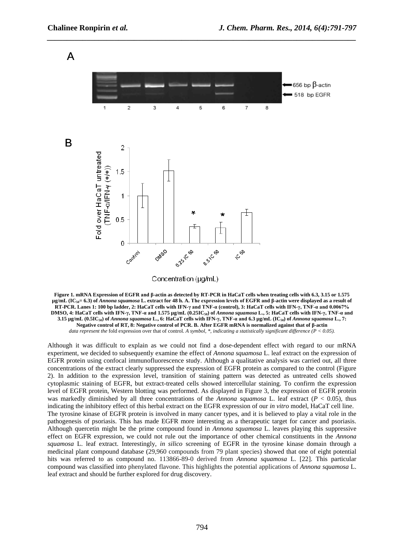A



*\_\_\_\_\_\_\_\_\_\_\_\_\_\_\_\_\_\_\_\_\_\_\_\_\_\_\_\_\_\_\_\_\_\_\_\_\_\_\_\_\_\_\_\_\_\_\_\_\_\_\_\_\_\_\_\_\_\_\_\_\_\_\_\_\_\_\_\_\_\_\_\_\_\_\_\_\_\_*

Concentration (µg/mL)

**Figure 1. mRNA Expression of EGFR and β-actin as detected by RT-PCR in HaCaT cells when treating cells with 6.3, 3.15 or 1.575 µg/mL (IC50= 6.3) of** *Annona squamosa* **L. extract for 48 h. A. The expression levels of EGFR and β-actin were displayed as a result of RT-PCR. Lanes 1: 100 bp ladder, 2: HaCaT cells with IFN-γ and TNF-α (control), 3: HaCaT cells with IFN-γ, TNF-α and 0.0067% DMSO, 4: HaCaT cells with IFN-γ, TNF-α and 1.575 µg/mL (0.25IC50) of** *Annona squamosa* **L., 5: HaCaT cells with IFN-γ, TNF-α and 3.15 µg/mL (0.5IC50) of** *Annona squamosa* **L., 6: HaCaT cells with IFN-γ, TNF-α and 6.3 µg/mL (IC50) of** *Annona squamosa* **L., 7: Negative control of RT, 8: Negative control of PCR. B. After EGFR mRNA is normalized against that of β-actin** *data represent the* fold expression over that of control. *A symbol, \*, indicating a statistically significant difference (P < 0.05).*

Although it was difficult to explain as we could not find a dose-dependent effect with regard to our mRNA experiment, we decided to subsequently examine the effect of *Annona squamosa* L. leaf extract on the expression of EGFR protein using confocal immunofluorescence study. Although a qualitative analysis was carried out, all three concentrations of the extract clearly suppressed the expression of EGFR protein as compared to the control (Figure 2). In addition to the expression level, transition of staining pattern was detected as untreated cells showed cytoplasmic staining of EGFR, but extract-treated cells showed intercellular staining. To confirm the expression level of EGFR protein, Western blotting was performed. As displayed in Figure 3, the expression of EGFR protein was markedly diminished by all three concentrations of the *Annona squamosa* L. leaf extract (*P* < 0.05), thus indicating the inhibitory effect of this herbal extract on the EGFR expression of our *in vitro* model, HaCaT cell line. The tyrosine kinase of EGFR protein is involved in many cancer types, and it is believed to play a vital role in the pathogenesis of psoriasis. This has made EGFR more interesting as a therapeutic target for cancer and psoriasis. Although quercetin might be the prime compound found in *Annona squamosa* L. leaves playing this suppressive effect on EGFR expression, we could not rule out the importance of other chemical constituents in the *Annona squamosa* L. leaf extract. Interestingly, *in silico* screening of EGFR in the tyrosine kinase domain through a medicinal plant compound database (29,960 compounds from 79 plant species) showed that one of eight potential hits was referred to as compound no. 113866-89-0 derived from *Annona squamosa* L. [22]. This particular compound was classified into phenylated flavone. This highlights the potential applications of *Annona squamosa* L. leaf extract and should be further explored for drug discovery.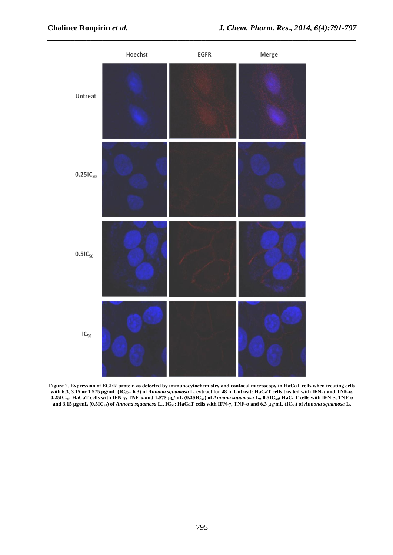

*\_\_\_\_\_\_\_\_\_\_\_\_\_\_\_\_\_\_\_\_\_\_\_\_\_\_\_\_\_\_\_\_\_\_\_\_\_\_\_\_\_\_\_\_\_\_\_\_\_\_\_\_\_\_\_\_\_\_\_\_\_\_\_\_\_\_\_\_\_\_\_\_\_\_\_\_\_\_*

**Figure 2. Expression of EGFR protein as detected by immunocytochemistry and confocal microscopy in HaCaT cells when treating cells with 6.3, 3.15 or 1.575 µg/mL (IC**50**= 6.3) of** *Annona squamosa* **L. extract for 48 h. Untreat: HaCaT cells treated with IFN-γ and TNF-α, 0.25IC50: HaCaT cells with IFN-γ, TNF-α and 1.575 µg/mL (0.25IC50) of** *Annona squamosa* **L., 0.5IC50: HaCaT cells with IFN-γ, TNF-α and 3.15 µg/mL (0.5IC50) of** *Annona squamosa* **L., IC50: HaCaT cells with IFN-γ, TNF-α and 6.3 µg/mL (IC50) of** *Annona squamosa* **L.**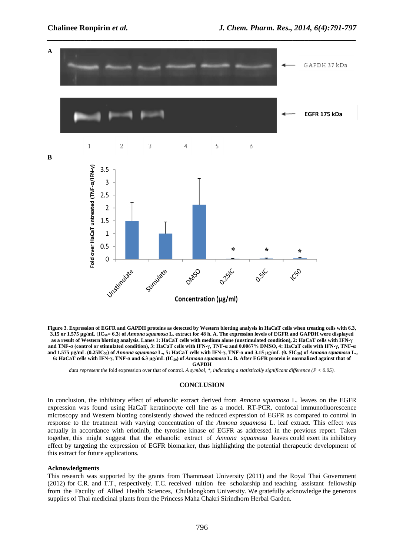

**Figure 3. Expression of EGFR and GAPDH proteins as detected by Western blotting analysis in HaCaT cells when treating cells with 6.3, 3.15 or 1.575 µg/mL** (**IC50= 6.3**) **of** *Annona squamosa* **L. extract for 48 h. A. The expression levels of EGFR and GAPDH were displayed as a result of Western blotting analysis. Lanes 1: HaCaT cells with medium alone (unstimulated condition), 2: HaCaT cells with IFN-γ and TNF-α (control or stimulated condition), 3: HaCaT cells with IFN-γ, TNF-α and 0.0067% DMSO, 4: HaCaT cells with IFN-γ, TNF-α and 1.575 µg/mL (0.25IC50) of** *Annona squamosa* **L., 5: HaCaT cells with IFN-γ, TNF-α and 3.15 µg/mL (0. 5IC50) of** *Annona squamosa* **L., 6: HaCaT cells with IFN-γ, TNF-α and 6.3 µg/mL (IC50) of** *Annona squamosa* **L. B. After EGFR protein is normalized against that of GAPDH**

*data represent the* fold expression over that of control. *A symbol, \*, indicating a statistically significant difference (P < 0.05).*

#### **CONCLUSION**

In conclusion, the inhibitory effect of ethanolic extract derived from *Annona squamosa* L. leaves on the EGFR expression was found using HaCaT keratinocyte cell line as a model. RT-PCR, confocal immunofluorescence microscopy and Western blotting consistently showed the reduced expression of EGFR as compared to control in response to the treatment with varying concentration of the *Annona squamosa* L. leaf extract. This effect was actually in accordance with erlotinib, the tyrosine kinase of EGFR as addressed in the previous report. Taken together, this might suggest that the ethanolic extract of *Annona squamosa* leaves could exert its inhibitory effect by targeting the expression of EGFR biomarker, thus highlighting the potential therapeutic development of this extract for future applications.

#### **Acknowledgments**

This research was supported by the grants from Thammasat University (2011) and the Royal Thai Government (2012) for C.R. and T.T., respectively. T.C. received tuition fee scholarship and teaching assistant fellowship from the Faculty of Allied Health Sciences, Chulalongkorn University. We gratefully acknowledge the generous supplies of Thai medicinal plants from the Princess Maha Chakri Sirindhorn Herbal Garden.